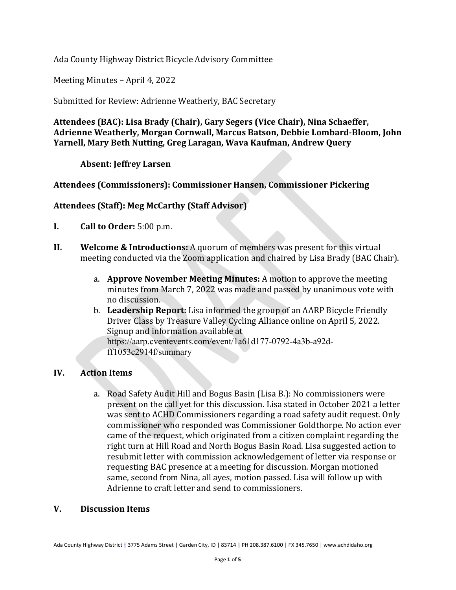Ada County Highway District Bicycle Advisory Committee

Meeting Minutes – April 4, 2022

Submitted for Review: Adrienne Weatherly, BAC Secretary

**Attendees (BAC): Lisa Brady (Chair), Gary Segers (Vice Chair), Nina Schaeffer, Adrienne Weatherly, Morgan Cornwall, Marcus Batson, Debbie Lombard-Bloom, John Yarnell, Mary Beth Nutting, Greg Laragan, Wava Kaufman, Andrew Query**

**Absent: Jeffrey Larsen**

# **Attendees (Commissioners): Commissioner Hansen, Commissioner Pickering**

## **Attendees (Staff): Meg McCarthy (Staff Advisor)**

- **I. Call to Order:** 5:00 p.m.
- **II. Welcome & Introductions:** A quorum of members was present for this virtual meeting conducted via the Zoom application and chaired by Lisa Brady (BAC Chair).
	- a. **Approve November Meeting Minutes:** A motion to approve the meeting minutes from March 7, 2022 was made and passed by unanimous vote with no discussion.
	- b. **Leadership Report:** Lisa informed the group of an AARP Bicycle Friendly Driver Class by Treasure Valley Cycling Alliance online on April 5, 2022. Signup and information available at https://aarp.cventevents.com/event/1a61d177-0792-4a3b-a92dff1053c2914f/summary

## **IV. Action Items**

a. Road Safety Audit Hill and Bogus Basin (Lisa B.): No commissioners were present on the call yet for this discussion. Lisa stated in October 2021 a letter was sent to ACHD Commissioners regarding a road safety audit request. Only commissioner who responded was Commissioner Goldthorpe. No action ever came of the request, which originated from a citizen complaint regarding the right turn at Hill Road and North Bogus Basin Road. Lisa suggested action to resubmit letter with commission acknowledgement of letter via response or requesting BAC presence at a meeting for discussion. Morgan motioned same, second from Nina, all ayes, motion passed. Lisa will follow up with Adrienne to craft letter and send to commissioners.

## **V. Discussion Items**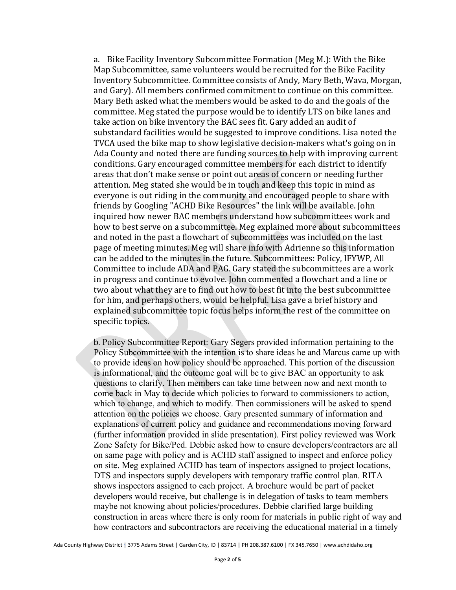a. Bike Facility Inventory Subcommittee Formation (Meg M.): With the Bike Map Subcommittee, same volunteers would be recruited for the Bike Facility Inventory Subcommittee. Committee consists of Andy, Mary Beth, Wava, Morgan, and Gary). All members confirmed commitment to continue on this committee. Mary Beth asked what the members would be asked to do and the goals of the committee. Meg stated the purpose would be to identify LTS on bike lanes and take action on bike inventory the BAC sees fit. Gary added an audit of substandard facilities would be suggested to improve conditions. Lisa noted the TVCA used the bike map to show legislative decision-makers what's going on in Ada County and noted there are funding sources to help with improving current conditions. Gary encouraged committee members for each district to identify areas that don't make sense or point out areas of concern or needing further attention. Meg stated she would be in touch and keep this topic in mind as everyone is out riding in the community and encouraged people to share with friends by Googling "ACHD Bike Resources" the link will be available. John inquired how newer BAC members understand how subcommittees work and how to best serve on a subcommittee. Meg explained more about subcommittees and noted in the past a flowchart of subcommittees was included on the last page of meeting minutes. Meg will share info with Adrienne so this information can be added to the minutes in the future. Subcommittees: Policy, IFYWP, All Committee to include ADA and PAG. Gary stated the subcommittees are a work in progress and continue to evolve. John commented a flowchart and a line or two about what they are to find out how to best fit into the best subcommittee for him, and perhaps others, would be helpful. Lisa gave a brief history and explained subcommittee topic focus helps inform the rest of the committee on specific topics.

b. Policy Subcommittee Report: Gary Segers provided information pertaining to the Policy Subcommittee with the intention is to share ideas he and Marcus came up with to provide ideas on how policy should be approached. This portion of the discussion is informational, and the outcome goal will be to give BAC an opportunity to ask questions to clarify. Then members can take time between now and next month to come back in May to decide which policies to forward to commissioners to action, which to change, and which to modify. Then commissioners will be asked to spend attention on the policies we choose. Gary presented summary of information and explanations of current policy and guidance and recommendations moving forward (further information provided in slide presentation). First policy reviewed was Work Zone Safety for Bike/Ped. Debbie asked how to ensure developers/contractors are all on same page with policy and is ACHD staff assigned to inspect and enforce policy on site. Meg explained ACHD has team of inspectors assigned to project locations, DTS and inspectors supply developers with temporary traffic control plan. RITA shows inspectors assigned to each project. A brochure would be part of packet developers would receive, but challenge is in delegation of tasks to team members maybe not knowing about policies/procedures. Debbie clarified large building construction in areas where there is only room for materials in public right of way and how contractors and subcontractors are receiving the educational material in a timely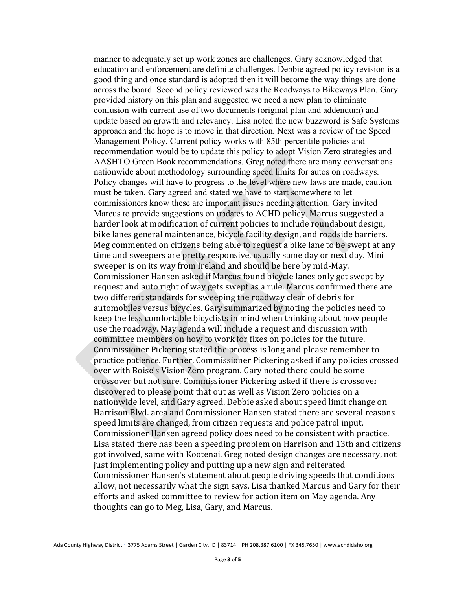manner to adequately set up work zones are challenges. Gary acknowledged that education and enforcement are definite challenges. Debbie agreed policy revision is a good thing and once standard is adopted then it will become the way things are done across the board. Second policy reviewed was the Roadways to Bikeways Plan. Gary provided history on this plan and suggested we need a new plan to eliminate confusion with current use of two documents (original plan and addendum) and update based on growth and relevancy. Lisa noted the new buzzword is Safe Systems approach and the hope is to move in that direction. Next was a review of the Speed Management Policy. Current policy works with 85th percentile policies and recommendation would be to update this policy to adopt Vision Zero strategies and AASHTO Green Book recommendations. Greg noted there are many conversations nationwide about methodology surrounding speed limits for autos on roadways. Policy changes will have to progress to the level where new laws are made, caution must be taken. Gary agreed and stated we have to start somewhere to let commissioners know these are important issues needing attention. Gary invited Marcus to provide suggestions on updates to ACHD policy. Marcus suggested a harder look at modification of current policies to include roundabout design, bike lanes general maintenance, bicycle facility design, and roadside barriers. Meg commented on citizens being able to request a bike lane to be swept at any time and sweepers are pretty responsive, usually same day or next day. Mini sweeper is on its way from Ireland and should be here by mid-May. Commissioner Hansen asked if Marcus found bicycle lanes only get swept by request and auto right of way gets swept as a rule. Marcus confirmed there are two different standards for sweeping the roadway clear of debris for automobiles versus bicycles. Gary summarized by noting the policies need to keep the less comfortable bicyclists in mind when thinking about how people use the roadway. May agenda will include a request and discussion with committee members on how to work for fixes on policies for the future. Commissioner Pickering stated the process is long and please remember to practice patience. Further, Commissioner Pickering asked if any policies crossed over with Boise's Vision Zero program. Gary noted there could be some crossover but not sure. Commissioner Pickering asked if there is crossover discovered to please point that out as well as Vision Zero policies on a nationwide level, and Gary agreed. Debbie asked about speed limit change on Harrison Blvd. area and Commissioner Hansen stated there are several reasons speed limits are changed, from citizen requests and police patrol input. Commissioner Hansen agreed policy does need to be consistent with practice. Lisa stated there has been a speeding problem on Harrison and 13th and citizens got involved, same with Kootenai. Greg noted design changes are necessary, not just implementing policy and putting up a new sign and reiterated Commissioner Hansen's statement about people driving speeds that conditions allow, not necessarily what the sign says. Lisa thanked Marcus and Gary for their efforts and asked committee to review for action item on May agenda. Any thoughts can go to Meg, Lisa, Gary, and Marcus.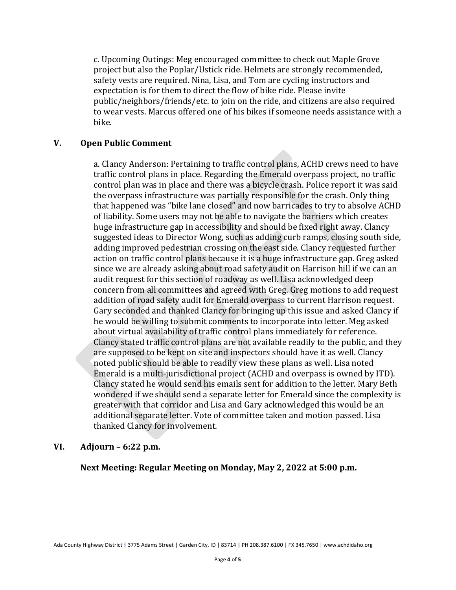c. Upcoming Outings: Meg encouraged committee to check out Maple Grove project but also the Poplar/Ustick ride. Helmets are strongly recommended, safety vests are required. Nina, Lisa, and Tom are cycling instructors and expectation is for them to direct the flow of bike ride. Please invite public/neighbors/friends/etc. to join on the ride, and citizens are also required to wear vests. Marcus offered one of his bikes if someone needs assistance with a bike.

#### **V. Open Public Comment**

a. Clancy Anderson: Pertaining to traffic control plans, ACHD crews need to have traffic control plans in place. Regarding the Emerald overpass project, no traffic control plan was in place and there was a bicycle crash. Police report it was said the overpass infrastructure was partially responsible for the crash. Only thing that happened was "bike lane closed" and now barricades to try to absolve ACHD of liability. Some users may not be able to navigate the barriers which creates huge infrastructure gap in accessibility and should be fixed right away. Clancy suggested ideas to Director Wong, such as adding curb ramps, closing south side, adding improved pedestrian crossing on the east side. Clancy requested further action on traffic control plans because it is a huge infrastructure gap. Greg asked since we are already asking about road safety audit on Harrison hill if we can an audit request for this section of roadway as well. Lisa acknowledged deep concern from all committees and agreed with Greg. Greg motions to add request addition of road safety audit for Emerald overpass to current Harrison request. Gary seconded and thanked Clancy for bringing up this issue and asked Clancy if he would be willing to submit comments to incorporate into letter. Meg asked about virtual availability of traffic control plans immediately for reference. Clancy stated traffic control plans are not available readily to the public, and they are supposed to be kept on site and inspectors should have it as well. Clancy noted public should be able to readily view these plans as well. Lisa noted Emerald is a multi-jurisdictional project (ACHD and overpass is owned by ITD). Clancy stated he would send his emails sent for addition to the letter. Mary Beth wondered if we should send a separate letter for Emerald since the complexity is greater with that corridor and Lisa and Gary acknowledged this would be an additional separate letter. Vote of committee taken and motion passed. Lisa thanked Clancy for involvement.

#### **VI. Adjourn – 6:22 p.m.**

**Next Meeting: Regular Meeting on Monday, May 2, 2022 at 5:00 p.m.**